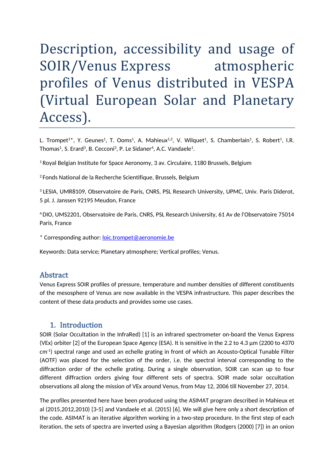# Description, accessibility and usage of SOIR/Venus Express atmospheric profiles of Venus distributed in VESPA (Virtual European Solar and Planetary Access).

L. Trompet<sup>1\*</sup>, Y. Geunes<sup>1</sup>, T. Ooms<sup>1</sup>, A. Mahieux<sup>1,2</sup>, V. Wilquet<sup>1</sup>, S. Chamberlain<sup>1</sup>, S. Robert<sup>1</sup>, I.R. Thomas<sup>1</sup>, S. Erard<sup>3</sup>, B. Cecconi<sup>3</sup>, P. Le Sidaner<sup>4</sup>, A.C. Vandaele<sup>1</sup>.

<sup>1</sup> Royal Belgian Institute for Space Aeronomy, 3 av. Circulaire, 1180 Brussels, Belgium

<sup>2</sup> Fonds National de la Recherche Scientifique, Brussels, Belgium

<sup>3</sup> LESIA, UMR8109, Observatoire de Paris, CNRS, PSL Research University, UPMC, Univ. Paris Diderot, 5 pl. J. Janssen 92195 Meudon, France

4DIO, UMS2201, Observatoire de Paris, CNRS, PSL Research University, 61 Av de l'Observatoire 75014 Paris, France

\* Corresponding author: [loic.trompet@aeronomie.be](mailto:loic.trompet@aeronomie.be)

Keywords: Data service; Planetary atmosphere; Vertical profiles; Venus.

#### Abstract

Venus Express SOIR profiles of pressure, temperature and number densities of different constituents of the mesosphere of Venus are now available in the VESPA infrastructure. This paper describes the content of these data products and provides some use cases.

#### 1. Introduction

SOIR (Solar Occultation in the InfraRed) [1] is an infrared spectrometer on-board the Venus Express (VEx) orbiter [2] of the European Space Agency (ESA). It is sensitive in the 2.2 to 4.3 µm (2200 to 4370 cm-1) spectral range and used an echelle grating in front of which an Acousto-Optical Tunable Filter (AOTF) was placed for the selection of the order, i.e. the spectral interval corresponding to the diffraction order of the echelle grating. During a single observation, SOIR can scan up to four different diffraction orders giving four different sets of spectra. SOIR made solar occultation observations all along the mission of VEx around Venus, from May 12, 2006 till November 27, 2014.

The profiles presented here have been produced using the ASIMAT program described in Mahieux et al (2015,2012,2010) [3-5] and Vandaele et al. (2015) [6]. We will give here only a short description of the code. ASIMAT is an iterative algorithm working in a two-step procedure. In the first step of each iteration, the sets of spectra are inverted using a Bayesian algorithm (Rodgers (2000) [7]) in an onion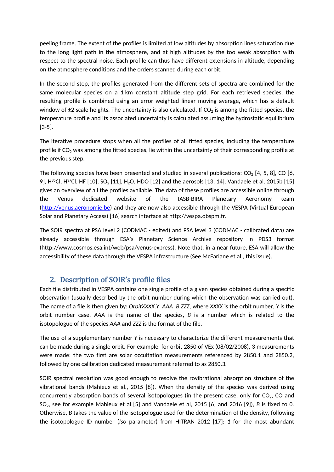peeling frame. The extent of the profiles is limited at low altitudes by absorption lines saturation due to the long light path in the atmosphere, and at high altitudes by the too weak absorption with respect to the spectral noise. Each profile can thus have different extensions in altitude, depending on the atmosphere conditions and the orders scanned during each orbit.

In the second step, the profiles generated from the different sets of spectra are combined for the same molecular species on a 1 km constant altitude step grid. For each retrieved species, the resulting profile is combined using an error weighted linear moving average, which has a default window of  $\pm 2$  scale heights. The uncertainty is also calculated. If CO<sub>2</sub> is among the fitted species, the temperature profile and its associated uncertainty is calculated assuming the hydrostatic equilibrium [3-5].

The iterative procedure stops when all the profiles of all fitted species, including the temperature profile if  $CO<sub>2</sub>$  was among the fitted species, lie within the uncertainty of their corresponding profile at the previous step.

The following species have been presented and studied in several publications:  $CO<sub>2</sub>$  [4, 5, 8], CO [6, 9], H<sup>35</sup>Cl, H<sup>37</sup>Cl, HF [10], SO<sub>2</sub> [11], H<sub>2</sub>O, HDO [12] and the aerosols [13, 14]. Vandaele et al. 2015b [15] gives an overview of all the profiles available. The data of these profiles are accessible online through the Venus dedicated website of the IASB-BIRA Planetary Aeronomy team [\(http://venus.aeronomie.be](http://venus.aeronomie.be)) and they are now also accessible through the VESPA (Virtual European Solar and Planetary Access) [16] search interface at http://vespa.obspm.fr.

The SOIR spectra at PSA level 2 (CODMAC - edited) and PSA level 3 (CODMAC - calibrated data) are already accessible through ESA's Planetary Science Archive repository in PDS3 format (http://www.cosmos.esa.int/web/psa/venus-express). Note that, in a near future, ESA will allow the accessibility of these data through the VESPA infrastructure (See McFarlane et al., this issue).

# 2. Description of SOIR's profile files

Each file distributed in VESPA contains one single profile of a given species obtained during a specific observation (usually described by the orbit number during which the observation was carried out). The name of a file is then given by: *OrbitXXXX.Y\_AAA\_B.ZZZ,* where *XXXX* is the orbit number, *Y* is the orbit number case, *AAA* is the name of the species, *B* is a number which is related to the isotopologue of the species *AAA* and *ZZZ* is the format of the file.

The use of a supplementary number *Y* is necessary to characterize the different measurements that can be made during a single orbit. For example, for orbit 2850 of VEx (08/02/2008), 3 measurements were made: the two first are solar occultation measurements referenced by 2850.1 and 2850.2, followed by one calibration dedicated measurement referred to as 2850.3.

SOIR spectral resolution was good enough to resolve the rovibrational absorption structure of the vibrational bands (Mahieux et al., 2015 [8]). When the density of the species was derived using concurrently absorption bands of several isotopologues (in the present case, only for  $CO<sub>2</sub>$ , CO and SO2, see for example Mahieux et al [5] and Vandaele et al, 2015 [6] and 2016 [9]), *B* is fixed to 0. Otherwise, *B* takes the value of the isotopologue used for the determination of the density, following the isotopologue ID number (*Iso* parameter) from HITRAN 2012 [17]: *1* for the most abundant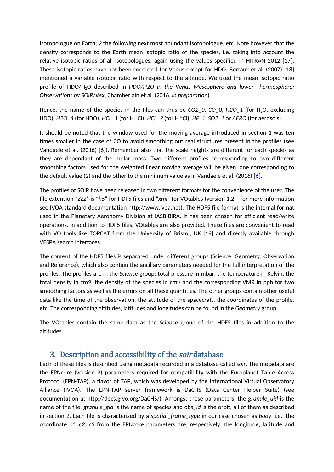isotopologue on Earth; *2* the following next most abundant isotopologue, etc. Note however that the density corresponds to the Earth mean isotopic ratio of the species, i.e. taking into account the relative isotopic ratios of all isotopologues, again using the values specified in HITRAN 2012 [17]. These isotopic ratios have not been corrected for Venus except for HDO. Bertaux et al. (2007) [18] mentioned a variable isotopic ratio with respect to the altitude. We used the mean isotopic ratio profile of HDO/H2O described in *HDO/H2O in the Venus Mesosphere and lower Thermosphere: Observations by SOIR/Vex*, Chamberlain et al. (2016, *in preparation*).

Hence, the name of the species in the files can thus be *CO2* 0, *CO* 0, *H2O* 1 (for H<sub>2</sub>O, excluding HDO), *H2O\_4* (for HDO), *HCL\_1* (for H35Cl), *HCL\_2* (for H37Cl), *HF\_1*, *SO2\_1* or *AERO* (for aerosols).

It should be noted that the window used for the moving average introduced in section 1 was ten times smaller in the case of CO to avoid smoothing out real structures present in the profiles (see Vandaele et al. (2016) [6]). Remember also that the scale heights are different for each species as they are dependant of the molar mass. Two different profiles corresponding to two different smoothing factors used for the weighted linear moving average will be given, one corresponding to the default value (2) and the other to the minimum value as in Vandaele et al. (2016) [[6](file:///C:/Users/loict/Desktop/ManuscriptVESPA_V5_acv_am-acv.docx%23_ENREF_6)].

The profiles of SOIR have been released in two different formats for the convenience of the user. The file extension "*ZZZ*" is "*h5*" for HDF5 files and "*xml*" for VOtables (version 1.2 – for more information see IVOA standard documentation http://www.ivoa.net). The HDF5 file format is the internal format used in the Planetary Aeronomy Division at IASB-BIRA. It has been chosen for efficient read/write operations. In addition to HDF5 files, VOtables are also provided. These files are convenient to read with VO tools like TOPCAT from the University of Bristol, UK [19] and directly available through VESPA search interfaces.

The content of the HDF5 files is separated under different groups (Science, Geometry, Observation and Reference), which also contain the ancillary parameters needed for the full interpretation of the profiles. The profiles are in the *Science* group: total pressure in mbar, the temperature in Kelvin, the total density in  $cm<sup>-3</sup>$ , the density of the species in  $cm<sup>-3</sup>$  and the corresponding VMR in ppb for two smoothing factors as well as the errors on all these quantities. The other groups contain other useful data like the time of the observation, the attitude of the spacecraft, the coordinates of the profile, etc. The corresponding altitudes, latitudes and longitudes can be found in the *Geometry* group.

The VOtables contain the same data as the *Science* group of the HDF5 files in addition to the altitudes.

### 3. Description and accessibility of the *soir* database

Each of these files is described using metadata recorded in a database called *soir*. The metadata are the EPNcore (version 2) parameters required for compatibility with the Europlanet Table Access Protocol (EPN-TAP), a flavor of TAP, which was developed by the International Virtual Observatory Alliance (IVOA). The EPN-TAP server framework is DaCHS (Data Center Helper Suite) (see documentation at http://docs.g-vo.org/DaCHS/). Amongst these parameters, the *granule\_uid* is the name of the file, *granule\_gid* is the name of species and *obs\_id* is the orbit, all of them as described in section 2. Each file is characterized by a *spatial\_frame\_type* in our case chosen as *body*, i.e., the coordinate *c1*, *c2*, *c3* from the EPNcore parameters are, respectively, the longitude, latitude and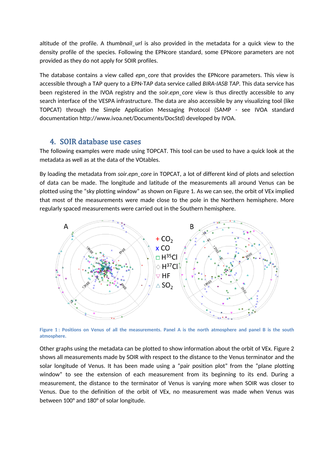altitude of the profile. A *thumbnail\_url* is also provided in the metadata for a quick view to the density profile of the species. Following the EPNcore standard, some EPNcore parameters are not provided as they do not apply for SOIR profiles.

The database contains a view called *epn\_core* that provides the EPNcore parameters. This view is accessible through a TAP query to a EPN-TAP data service called *BIRA-IASB TAP*. This data service has been registered in the IVOA registry and the *soir.epn\_core* view is thus directly accessible to any search interface of the VESPA infrastructure. The data are also accessible by any visualizing tool (like TOPCAT) through the Simple Application Messaging Protocol (SAMP - see IVOA standard documentation http://www.ivoa.net/Documents/DocStd) developed by IVOA.

#### 4. SOIR database use cases

The following examples were made using TOPCAT. This tool can be used to have a quick look at the metadata as well as at the data of the VOtables.

By loading the metadata from *soir.epn\_core* in TOPCAT, a lot of different kind of plots and selection of data can be made. The longitude and latitude of the measurements all around Venus can be plotted using the "sky plotting window" as shown on [Figure](#page-3-0) 1. As we can see, the orbit of VEx implied that most of the measurements were made close to the pole in the Northern hemisphere. More regularly spaced measurements were carried out in the Southern hemisphere.



<span id="page-3-0"></span>Figure 1: Positions on Venus of all the measurements. Panel A is the north atmosphere and panel B is the south **atmosphere.**

Other graphs using the metadata can be plotted to show information about the orbit of VEx. Figure 2 shows all measurements made by SOIR with respect to the distance to the Venus terminator and the solar longitude of Venus. It has been made using a "pair position plot" from the "plane plotting window" to see the extension of each measurement from its beginning to its end. During a measurement, the distance to the terminator of Venus is varying more when SOIR was closer to Venus. Due to the definition of the orbit of VEx, no measurement was made when Venus was between 100° and 180° of solar longitude.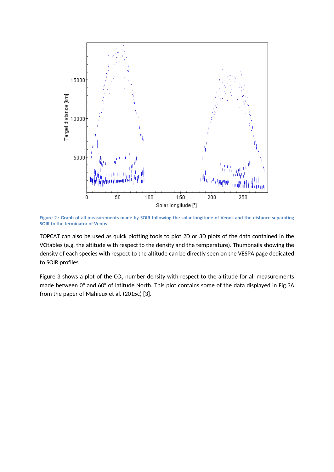

Figure 2 : Graph of all measurements made by SOIR following the solar longitude of Venus and the distance separating **SOIR to the terminator of Venus.**

TOPCAT can also be used as quick plotting tools to plot 2D or 3D plots of the data contained in the VOtables (e.g. the altitude with respect to the density and the temperature). Thumbnails showing the density of each species with respect to the altitude can be directly seen on the VESPA page dedicated to SOIR profiles.

Figure 3 shows a plot of the  $CO<sub>2</sub>$  number density with respect to the altitude for all measurements made between 0° and 60° of latitude North. This plot contains some of the data displayed in Fig.3A from the paper of Mahieux et al. (2015c) [3].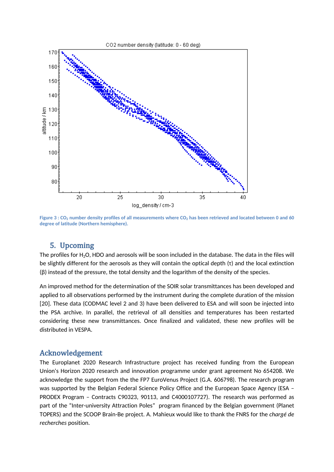

Figure 3 :  $CO_2$  number density profiles of all measurements where  $CO_2$  has been retrieved and located between 0 and 60 **degree of latitude (Northern hemisphere).**

# 5. Upcoming

The profiles for H2O, HDO and aerosols will be soon included in the database. The data in the files will be slightly different for the aerosols as they will contain the optical depth (τ) and the local extinction (β) instead of the pressure, the total density and the logarithm of the density of the species.

An improved method for the determination of the SOIR solar transmittances has been developed and applied to all observations performed by the instrument during the complete duration of the mission [20]. These data (CODMAC level 2 and 3) have been delivered to ESA and will soon be injected into the PSA archive. In parallel, the retrieval of all densities and temperatures has been restarted considering these new transmittances. Once finalized and validated, these new profiles will be distributed in VESPA.

#### Acknowledgement

The Europlanet 2020 Research Infrastructure project has received funding from the European Union's Horizon 2020 research and innovation programme under grant agreement No 654208. We acknowledge the support from the the FP7 EuroVenus Project (G.A. 606798). The research program was supported by the Belgian Federal Science Policy Office and the European Space Agency (ESA -PRODEX Program – Contracts C90323, 90113, and C4000107727). The research was performed as part of the "Inter-university Attraction Poles" program financed by the Belgian government (Planet TOPERS) and the SCOOP Brain-Be project. A. Mahieux would like to thank the FNRS for the *chargé de recherches* position.